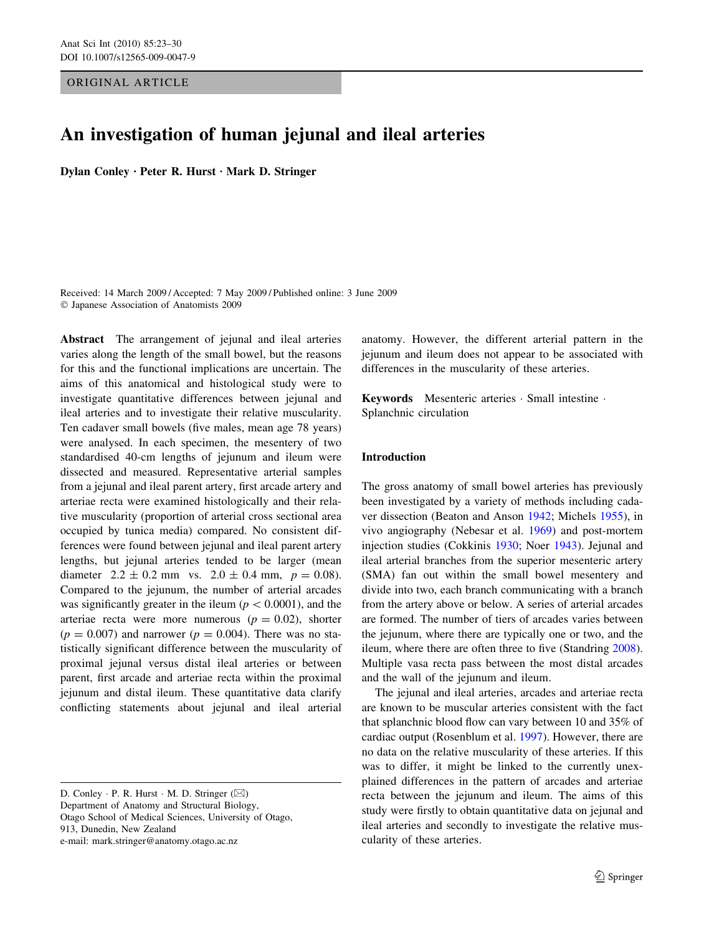## ORIGINAL ARTICLE

# An investigation of human jejunal and ileal arteries

Dylan Conley · Peter R. Hurst · Mark D. Stringer

Received: 14 March 2009 / Accepted: 7 May 2009 / Published online: 3 June 2009 Japanese Association of Anatomists 2009

Abstract The arrangement of jejunal and ileal arteries varies along the length of the small bowel, but the reasons for this and the functional implications are uncertain. The aims of this anatomical and histological study were to investigate quantitative differences between jejunal and ileal arteries and to investigate their relative muscularity. Ten cadaver small bowels (five males, mean age 78 years) were analysed. In each specimen, the mesentery of two standardised 40-cm lengths of jejunum and ileum were dissected and measured. Representative arterial samples from a jejunal and ileal parent artery, first arcade artery and arteriae recta were examined histologically and their relative muscularity (proportion of arterial cross sectional area occupied by tunica media) compared. No consistent differences were found between jejunal and ileal parent artery lengths, but jejunal arteries tended to be larger (mean diameter  $2.2 \pm 0.2$  mm vs.  $2.0 \pm 0.4$  mm,  $p = 0.08$ ). Compared to the jejunum, the number of arterial arcades was significantly greater in the ileum ( $p < 0.0001$ ), and the arteriae recta were more numerous  $(p = 0.02)$ , shorter  $(p = 0.007)$  and narrower  $(p = 0.004)$ . There was no statistically significant difference between the muscularity of proximal jejunal versus distal ileal arteries or between parent, first arcade and arteriae recta within the proximal jejunum and distal ileum. These quantitative data clarify conflicting statements about jejunal and ileal arterial

D. Conley  $\cdot$  P. R. Hurst  $\cdot$  M. D. Stringer ( $\boxtimes$ ) Department of Anatomy and Structural Biology,

Otago School of Medical Sciences, University of Otago,

913, Dunedin, New Zealand

e-mail: mark.stringer@anatomy.otago.ac.nz

anatomy. However, the different arterial pattern in the jejunum and ileum does not appear to be associated with differences in the muscularity of these arteries.

Keywords Mesenteric arteries · Small intestine · Splanchnic circulation

# Introduction

The gross anatomy of small bowel arteries has previously been investigated by a variety of methods including cadaver dissection (Beaton and Anson [1942](#page-6-0); Michels [1955\)](#page-6-0), in vivo angiography (Nebesar et al. [1969](#page-7-0)) and post-mortem injection studies (Cokkinis [1930;](#page-6-0) Noer [1943\)](#page-7-0). Jejunal and ileal arterial branches from the superior mesenteric artery (SMA) fan out within the small bowel mesentery and divide into two, each branch communicating with a branch from the artery above or below. A series of arterial arcades are formed. The number of tiers of arcades varies between the jejunum, where there are typically one or two, and the ileum, where there are often three to five (Standring [2008](#page-7-0)). Multiple vasa recta pass between the most distal arcades and the wall of the jejunum and ileum.

The jejunal and ileal arteries, arcades and arteriae recta are known to be muscular arteries consistent with the fact that splanchnic blood flow can vary between 10 and 35% of cardiac output (Rosenblum et al. [1997](#page-7-0)). However, there are no data on the relative muscularity of these arteries. If this was to differ, it might be linked to the currently unexplained differences in the pattern of arcades and arteriae recta between the jejunum and ileum. The aims of this study were firstly to obtain quantitative data on jejunal and ileal arteries and secondly to investigate the relative muscularity of these arteries.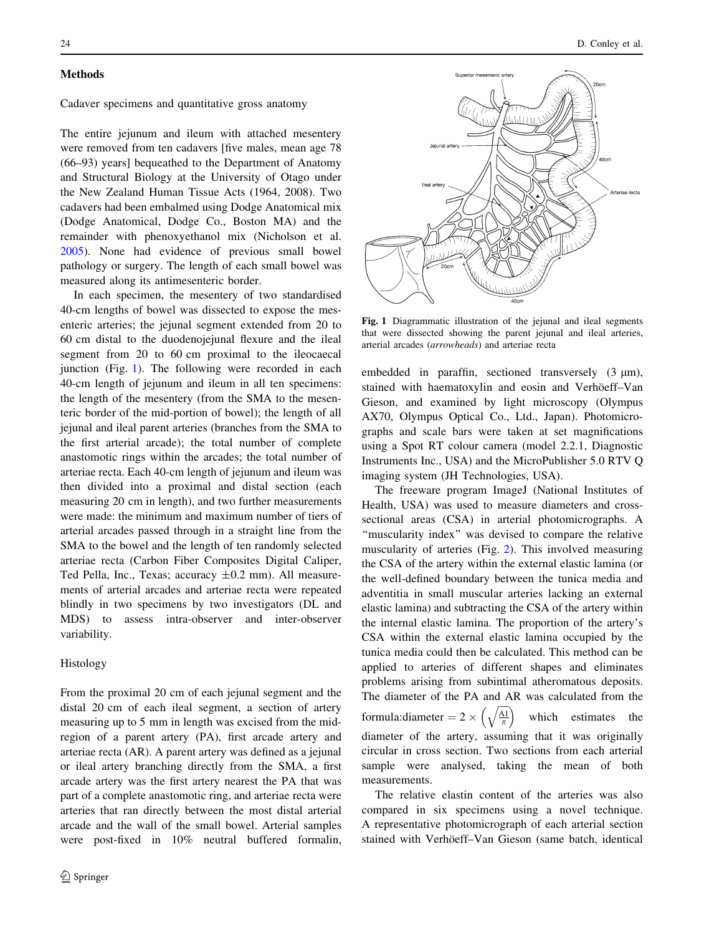### <span id="page-1-0"></span>**Methods**

Cadaver specimens and quantitative gross anatomy

The entire jejunum and ileum with attached mesentery were removed from ten cadavers [five males, mean age 78 (66–93) years] bequeathed to the Department of Anatomy and Structural Biology at the University of Otago under the New Zealand Human Tissue Acts (1964, 2008). Two cadavers had been embalmed using Dodge Anatomical mix (Dodge Anatomical, Dodge Co., Boston MA) and the remainder with phenoxyethanol mix (Nicholson et al. [2005\)](#page-7-0). None had evidence of previous small bowel pathology or surgery. The length of each small bowel was measured along its antimesenteric border.

In each specimen, the mesentery of two standardised 40-cm lengths of bowel was dissected to expose the mesenteric arteries; the jejunal segment extended from 20 to 60 cm distal to the duodenojejunal flexure and the ileal segment from 20 to 60 cm proximal to the ileocaecal junction (Fig. 1). The following were recorded in each 40-cm length of jejunum and ileum in all ten specimens: the length of the mesentery (from the SMA to the mesenteric border of the mid-portion of bowel); the length of all jejunal and ileal parent arteries (branches from the SMA to the first arterial arcade); the total number of complete anastomotic rings within the arcades; the total number of arteriae recta. Each 40-cm length of jejunum and ileum was then divided into a proximal and distal section (each measuring 20 cm in length), and two further measurements were made: the minimum and maximum number of tiers of arterial arcades passed through in a straight line from the SMA to the bowel and the length of ten randomly selected arteriae recta (Carbon Fiber Composites Digital Caliper, Ted Pella, Inc., Texas; accuracy ±0.2 mm). All measurements of arterial arcades and arteriae recta were repeated blindly in two specimens by two investigators (DL and MDS) to assess intra-observer and inter-observer variability.

## Histology

From the proximal 20 cm of each jejunal segment and the distal 20 cm of each ileal segment, a section of artery measuring up to 5 mm in length was excised from the midregion of a parent artery (PA), first arcade artery and arteriae recta (AR). A parent artery was defined as a jejunal or ileal artery branching directly from the SMA, a first arcade artery was the first artery nearest the PA that was part of a complete anastomotic ring, and arteriae recta were arteries that ran directly between the most distal arterial arcade and the wall of the small bowel. Arterial samples were post-fixed in 10% neutral buffered formalin,



Fig. 1 Diagrammatic illustration of the jejunal and ileal segments that were dissected showing the parent jejunal and ileal arteries, arterial arcades (arrowheads) and arteriae recta

embedded in paraffin, sectioned transversely  $(3 \mu m)$ , stained with haematoxylin and eosin and Verhöeff-Van Gieson, and examined by light microscopy (Olympus AX70, Olympus Optical Co., Ltd., Japan). Photomicrographs and scale bars were taken at set magnifications using a Spot RT colour camera (model 2.2.1, Diagnostic Instruments Inc., USA) and the MicroPublisher 5.0 RTV Q imaging system (JH Technologies, USA).

The freeware program ImageJ (National Institutes of Health, USA) was used to measure diameters and crosssectional areas (CSA) in arterial photomicrographs. A ''muscularity index'' was devised to compare the relative muscularity of arteries (Fig. [2](#page-2-0)). This involved measuring the CSA of the artery within the external elastic lamina (or the well-defined boundary between the tunica media and adventitia in small muscular arteries lacking an external elastic lamina) and subtracting the CSA of the artery within the internal elastic lamina. The proportion of the artery's CSA within the external elastic lamina occupied by the tunica media could then be calculated. This method can be applied to arteries of different shapes and eliminates problems arising from subintimal atheromatous deposits. The diameter of the PA and AR was calculated from the formula:diameter =  $2 \times \left(\sqrt{\frac{A1}{\pi}}\right)$  $\sqrt{a}$ which estimates the diameter of the artery, assuming that it was originally circular in cross section. Two sections from each arterial sample were analysed, taking the mean of both measurements.

The relative elastin content of the arteries was also compared in six specimens using a novel technique. A representative photomicrograph of each arterial section stained with Verhöeff–Van Gieson (same batch, identical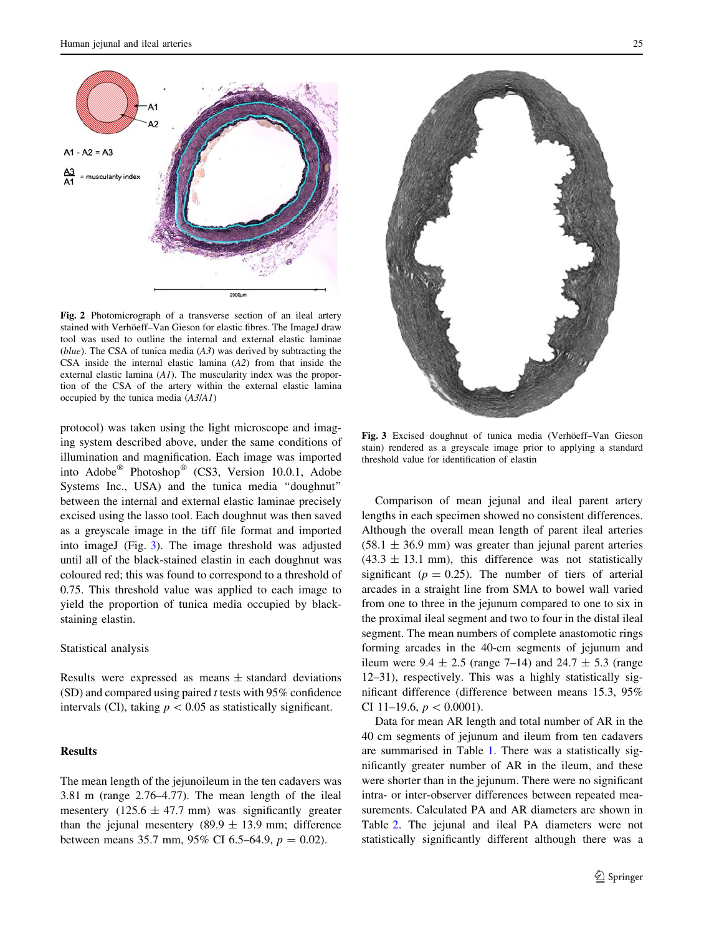<span id="page-2-0"></span>

Fig. 2 Photomicrograph of a transverse section of an ileal artery stained with Verhöeff–Van Gieson for elastic fibres. The ImageJ draw tool was used to outline the internal and external elastic laminae (blue). The CSA of tunica media  $(A3)$  was derived by subtracting the CSA inside the internal elastic lamina (A2) from that inside the external elastic lamina (A1). The muscularity index was the proportion of the CSA of the artery within the external elastic lamina occupied by the tunica media (A3/A1)

protocol) was taken using the light microscope and imaging system described above, under the same conditions of illumination and magnification. Each image was imported into Adobe® Photoshop® (CS3, Version 10.0.1, Adobe Systems Inc., USA) and the tunica media ''doughnut'' between the internal and external elastic laminae precisely excised using the lasso tool. Each doughnut was then saved as a greyscale image in the tiff file format and imported into imageJ (Fig. 3). The image threshold was adjusted until all of the black-stained elastin in each doughnut was coloured red; this was found to correspond to a threshold of 0.75. This threshold value was applied to each image to yield the proportion of tunica media occupied by blackstaining elastin.

### Statistical analysis

Results were expressed as means  $\pm$  standard deviations (SD) and compared using paired t tests with 95% confidence intervals (CI), taking  $p < 0.05$  as statistically significant.

### **Results**

The mean length of the jejunoileum in the ten cadavers was 3.81 m (range 2.76–4.77). The mean length of the ileal mesentery  $(125.6 \pm 47.7 \text{ mm})$  was significantly greater than the jejunal mesentery (89.9  $\pm$  13.9 mm; difference between means 35.7 mm, 95% CI 6.5–64.9,  $p = 0.02$ ).



Fig. 3 Excised doughnut of tunica media (Verhöeff–Van Gieson stain) rendered as a greyscale image prior to applying a standard threshold value for identification of elastin

Comparison of mean jejunal and ileal parent artery lengths in each specimen showed no consistent differences. Although the overall mean length of parent ileal arteries  $(58.1 \pm 36.9 \text{ mm})$  was greater than jejunal parent arteries  $(43.3 \pm 13.1 \text{ mm})$ , this difference was not statistically significant ( $p = 0.25$ ). The number of tiers of arterial arcades in a straight line from SMA to bowel wall varied from one to three in the jejunum compared to one to six in the proximal ileal segment and two to four in the distal ileal segment. The mean numbers of complete anastomotic rings forming arcades in the 40-cm segments of jejunum and ileum were  $9.4 \pm 2.5$  (range 7–14) and  $24.7 \pm 5.3$  (range 12–31), respectively. This was a highly statistically significant difference (difference between means 15.3, 95% CI 11–19.6,  $p < 0.0001$ ).

Data for mean AR length and total number of AR in the 40 cm segments of jejunum and ileum from ten cadavers are summarised in Table [1.](#page-3-0) There was a statistically significantly greater number of AR in the ileum, and these were shorter than in the jejunum. There were no significant intra- or inter-observer differences between repeated measurements. Calculated PA and AR diameters are shown in Table [2](#page-3-0). The jejunal and ileal PA diameters were not statistically significantly different although there was a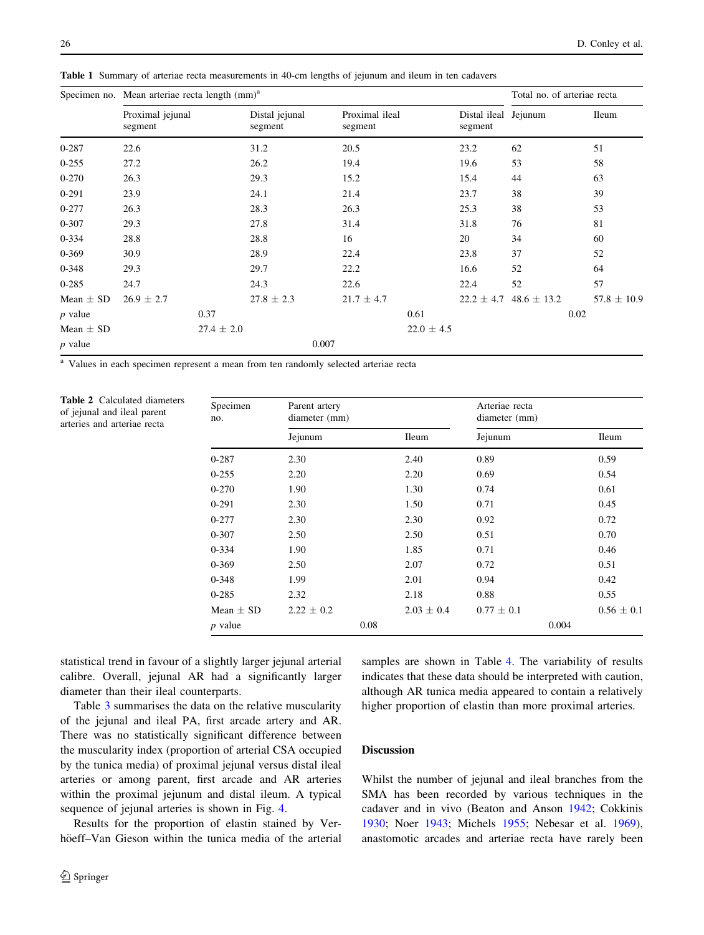|               | Specimen no. Mean arteriae recta length (mm) <sup>a</sup> |                |                           |       |                           |                |                                 | Total no. of arteriae recta |      |                 |
|---------------|-----------------------------------------------------------|----------------|---------------------------|-------|---------------------------|----------------|---------------------------------|-----------------------------|------|-----------------|
|               | Proximal jejunal<br>segment                               |                | Distal jejunal<br>segment |       | Proximal ileal<br>segment |                | Distal ileal Jejunum<br>segment |                             |      | <b>Ileum</b>    |
| $0 - 287$     | 22.6                                                      |                | 31.2                      |       | 20.5                      |                | 23.2                            | 62                          |      | 51              |
| $0 - 255$     | 27.2                                                      |                | 26.2                      |       | 19.4                      |                | 19.6                            | 53                          |      | 58              |
| $0 - 270$     | 26.3                                                      |                | 29.3                      |       | 15.2                      |                | 15.4                            | 44                          |      | 63              |
| $0 - 291$     | 23.9                                                      |                | 24.1                      |       | 21.4                      |                | 23.7                            | 38                          |      | 39              |
| $0 - 277$     | 26.3                                                      |                | 28.3                      |       | 26.3                      |                | 25.3                            | 38                          |      | 53              |
| $0 - 307$     | 29.3                                                      |                | 27.8                      |       | 31.4                      |                | 31.8                            | 76                          |      | 81              |
| $0 - 334$     | 28.8                                                      |                | 28.8                      |       | 16                        |                | 20                              | 34                          |      | 60              |
| $0 - 369$     | 30.9                                                      |                | 28.9                      |       | 22.4                      |                | 23.8                            | 37                          |      | 52              |
| $0 - 348$     | 29.3                                                      |                | 29.7                      |       | 22.2                      |                | 16.6                            | 52                          |      | 64              |
| $0 - 285$     | 24.7                                                      |                | 24.3                      |       | 22.6                      |                | 22.4                            | 52                          |      | 57              |
| Mean $\pm$ SD | $26.9 \pm 2.7$                                            |                | $27.8 \pm 2.3$            |       | $21.7 \pm 4.7$            |                | $22.2 \pm 4.7$                  | $48.6 \pm 13.2$             |      | $57.8 \pm 10.9$ |
| $p$ value     |                                                           | 0.37           |                           |       |                           | 0.61           |                                 |                             | 0.02 |                 |
| Mean $\pm$ SD |                                                           | $27.4 \pm 2.0$ |                           |       |                           | $22.0 \pm 4.5$ |                                 |                             |      |                 |
| $p$ value     |                                                           |                |                           | 0.007 |                           |                |                                 |                             |      |                 |

<span id="page-3-0"></span>Table 1 Summary of arteriae recta measurements in 40-cm lengths of jejunum and ileum in ten cadavers

<sup>a</sup> Values in each specimen represent a mean from ten randomly selected arteriae recta

Table 2 Calculated diameters of jejunal and ileal parent arteries and arteriae recta

| Specimen<br>no. | Parent artery<br>diameter (mm) |      |                | Arteriae recta<br>diameter (mm) |       |                |  |
|-----------------|--------------------------------|------|----------------|---------------------------------|-------|----------------|--|
|                 | Jejunum                        |      | <b>Ileum</b>   | Jejunum                         |       | <b>Ileum</b>   |  |
| $0 - 287$       | 2.30                           |      | 2.40           | 0.89                            |       | 0.59           |  |
| $0 - 255$       | 2.20                           |      | 2.20           | 0.69                            |       | 0.54           |  |
| $0 - 270$       | 1.90                           |      | 1.30           | 0.74                            |       | 0.61           |  |
| $0-291$         | 2.30                           |      | 1.50           | 0.71                            |       | 0.45           |  |
| $0 - 277$       | 2.30                           |      | 2.30           | 0.92                            |       | 0.72           |  |
| $0 - 307$       | 2.50                           |      | 2.50           | 0.51                            |       | 0.70           |  |
| $0 - 334$       | 1.90                           |      | 1.85           | 0.71                            |       | 0.46           |  |
| $0 - 369$       | 2.50                           |      | 2.07           | 0.72                            |       | 0.51           |  |
| $0 - 348$       | 1.99                           |      | 2.01           | 0.94                            |       | 0.42           |  |
| $0 - 285$       | 2.32                           |      | 2.18           | 0.88                            |       | 0.55           |  |
| Mean $\pm$ SD   | $2.22 \pm 0.2$                 |      | $2.03 \pm 0.4$ | $0.77 \pm 0.1$                  |       | $0.56 \pm 0.1$ |  |
| $p$ value       |                                | 0.08 |                |                                 | 0.004 |                |  |

statistical trend in favour of a slightly larger jejunal arterial calibre. Overall, jejunal AR had a significantly larger diameter than their ileal counterparts.

Table [3](#page-4-0) summarises the data on the relative muscularity of the jejunal and ileal PA, first arcade artery and AR. There was no statistically significant difference between the muscularity index (proportion of arterial CSA occupied by the tunica media) of proximal jejunal versus distal ileal arteries or among parent, first arcade and AR arteries within the proximal jejunum and distal ileum. A typical sequence of jejunal arteries is shown in Fig. [4.](#page-5-0)

Results for the proportion of elastin stained by Verhöeff–Van Gieson within the tunica media of the arterial

samples are shown in Table [4](#page-6-0). The variability of results indicates that these data should be interpreted with caution, although AR tunica media appeared to contain a relatively higher proportion of elastin than more proximal arteries.

# **Discussion**

Whilst the number of jejunal and ileal branches from the SMA has been recorded by various techniques in the cadaver and in vivo (Beaton and Anson [1942;](#page-6-0) Cokkinis [1930](#page-6-0); Noer [1943](#page-7-0); Michels [1955;](#page-6-0) Nebesar et al. [1969](#page-7-0)), anastomotic arcades and arteriae recta have rarely been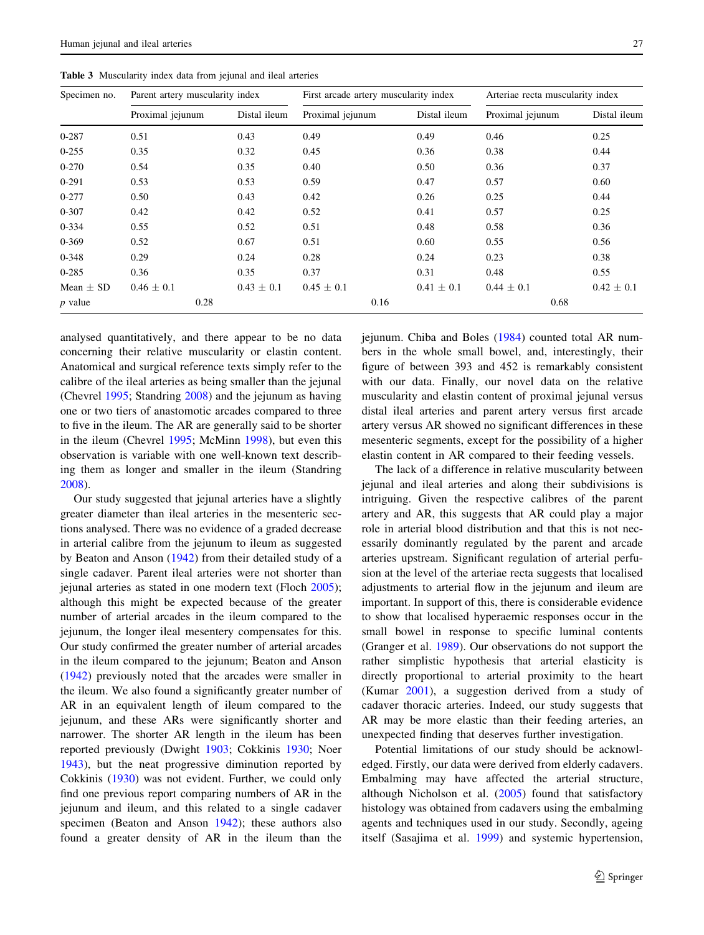<span id="page-4-0"></span>Table 3 Muscularity index data from jejunal and ileal arteries

| Specimen no.  | Parent artery muscularity index |                |                  | First arcade artery muscularity index | Arteriae recta muscularity index |                |  |
|---------------|---------------------------------|----------------|------------------|---------------------------------------|----------------------------------|----------------|--|
|               | Proximal jejunum                | Distal ileum   | Proximal jejunum | Distal ileum                          | Proximal jejunum                 | Distal ileum   |  |
| 0-287         | 0.51                            | 0.43           | 0.49             | 0.49                                  | 0.46                             | 0.25           |  |
| $0 - 255$     | 0.35                            | 0.32           | 0.45             | 0.36                                  | 0.38                             | 0.44           |  |
| $0 - 270$     | 0.54                            | 0.35           | 0.40             | 0.50                                  | 0.36                             | 0.37           |  |
| $0 - 291$     | 0.53                            | 0.53           | 0.59             | 0.47                                  | 0.57                             | 0.60           |  |
| $0 - 277$     | 0.50                            | 0.43           | 0.42             | 0.26                                  | 0.25                             | 0.44           |  |
| $0 - 307$     | 0.42                            | 0.42           | 0.52             | 0.41                                  | 0.57                             | 0.25           |  |
| $0 - 334$     | 0.55                            | 0.52           | 0.51             | 0.48                                  | 0.58                             | 0.36           |  |
| $0 - 369$     | 0.52                            | 0.67           | 0.51             | 0.60                                  | 0.55                             | 0.56           |  |
| $0 - 348$     | 0.29                            | 0.24           | 0.28             | 0.24                                  | 0.23                             | 0.38           |  |
| $0 - 285$     | 0.36                            | 0.35           | 0.37             | 0.31                                  | 0.48                             | 0.55           |  |
| Mean $\pm$ SD | $0.46 \pm 0.1$                  | $0.43 \pm 0.1$ | $0.45 \pm 0.1$   | $0.41 \pm 0.1$                        | $0.44 \pm 0.1$                   | $0.42 \pm 0.1$ |  |
| $p$ value     | 0.28                            |                |                  | 0.16                                  | 0.68                             |                |  |

analysed quantitatively, and there appear to be no data concerning their relative muscularity or elastin content. Anatomical and surgical reference texts simply refer to the calibre of the ileal arteries as being smaller than the jejunal (Chevrel [1995;](#page-6-0) Standring [2008](#page-7-0)) and the jejunum as having one or two tiers of anastomotic arcades compared to three to five in the ileum. The AR are generally said to be shorter

in the ileum (Chevrel [1995;](#page-6-0) McMinn [1998\)](#page-6-0), but even this observation is variable with one well-known text describing them as longer and smaller in the ileum (Standring [2008\)](#page-7-0).

Our study suggested that jejunal arteries have a slightly greater diameter than ileal arteries in the mesenteric sections analysed. There was no evidence of a graded decrease in arterial calibre from the jejunum to ileum as suggested by Beaton and Anson ([1942\)](#page-6-0) from their detailed study of a single cadaver. Parent ileal arteries were not shorter than jejunal arteries as stated in one modern text (Floch [2005](#page-6-0)); although this might be expected because of the greater number of arterial arcades in the ileum compared to the jejunum, the longer ileal mesentery compensates for this. Our study confirmed the greater number of arterial arcades in the ileum compared to the jejunum; Beaton and Anson [\(1942](#page-6-0)) previously noted that the arcades were smaller in the ileum. We also found a significantly greater number of AR in an equivalent length of ileum compared to the jejunum, and these ARs were significantly shorter and narrower. The shorter AR length in the ileum has been reported previously (Dwight [1903;](#page-6-0) Cokkinis [1930;](#page-6-0) Noer [1943\)](#page-7-0), but the neat progressive diminution reported by Cokkinis [\(1930](#page-6-0)) was not evident. Further, we could only find one previous report comparing numbers of AR in the jejunum and ileum, and this related to a single cadaver specimen (Beaton and Anson [1942](#page-6-0)); these authors also found a greater density of AR in the ileum than the jejunum. Chiba and Boles [\(1984](#page-6-0)) counted total AR numbers in the whole small bowel, and, interestingly, their figure of between 393 and 452 is remarkably consistent with our data. Finally, our novel data on the relative muscularity and elastin content of proximal jejunal versus distal ileal arteries and parent artery versus first arcade artery versus AR showed no significant differences in these mesenteric segments, except for the possibility of a higher elastin content in AR compared to their feeding vessels.

The lack of a difference in relative muscularity between jejunal and ileal arteries and along their subdivisions is intriguing. Given the respective calibres of the parent artery and AR, this suggests that AR could play a major role in arterial blood distribution and that this is not necessarily dominantly regulated by the parent and arcade arteries upstream. Significant regulation of arterial perfusion at the level of the arteriae recta suggests that localised adjustments to arterial flow in the jejunum and ileum are important. In support of this, there is considerable evidence to show that localised hyperaemic responses occur in the small bowel in response to specific luminal contents (Granger et al. [1989\)](#page-6-0). Our observations do not support the rather simplistic hypothesis that arterial elasticity is directly proportional to arterial proximity to the heart (Kumar [2001](#page-6-0)), a suggestion derived from a study of cadaver thoracic arteries. Indeed, our study suggests that AR may be more elastic than their feeding arteries, an unexpected finding that deserves further investigation.

Potential limitations of our study should be acknowledged. Firstly, our data were derived from elderly cadavers. Embalming may have affected the arterial structure, although Nicholson et al. ([2005\)](#page-7-0) found that satisfactory histology was obtained from cadavers using the embalming agents and techniques used in our study. Secondly, ageing itself (Sasajima et al. [1999](#page-7-0)) and systemic hypertension,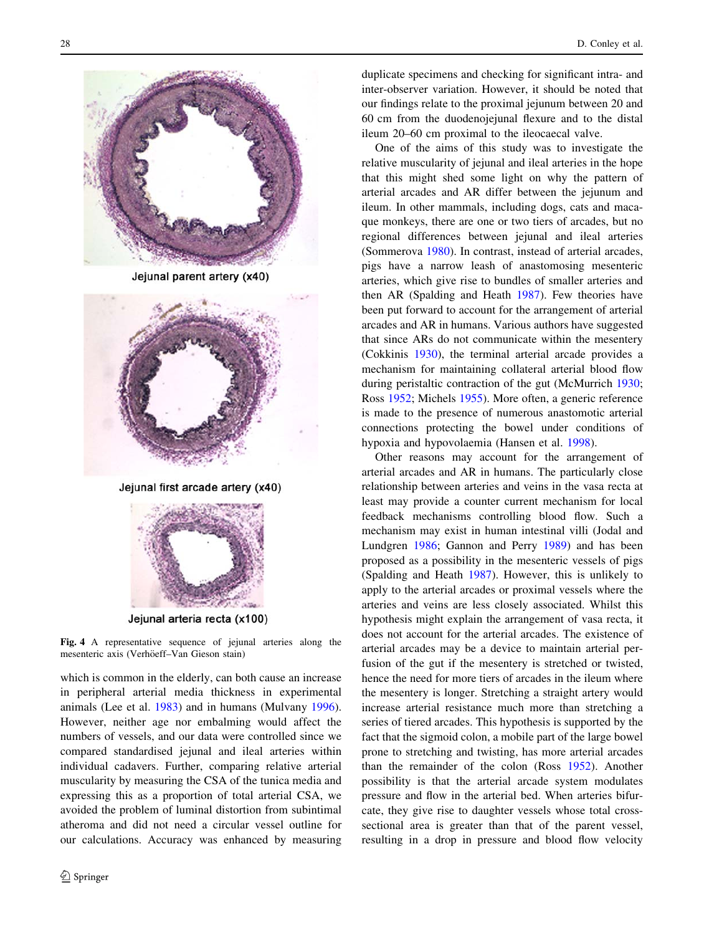<span id="page-5-0"></span>

Jejunal parent artery (x40)



Jejunal first arcade artery (x40)



Jejunal arteria recta (x100)

Fig. 4 A representative sequence of jejunal arteries along the mesenteric axis (Verhöeff–Van Gieson stain)

which is common in the elderly, can both cause an increase in peripheral arterial media thickness in experimental animals (Lee et al. [1983\)](#page-6-0) and in humans (Mulvany [1996](#page-7-0)). However, neither age nor embalming would affect the numbers of vessels, and our data were controlled since we compared standardised jejunal and ileal arteries within individual cadavers. Further, comparing relative arterial muscularity by measuring the CSA of the tunica media and expressing this as a proportion of total arterial CSA, we avoided the problem of luminal distortion from subintimal atheroma and did not need a circular vessel outline for our calculations. Accuracy was enhanced by measuring

duplicate specimens and checking for significant intra- and inter-observer variation. However, it should be noted that our findings relate to the proximal jejunum between 20 and 60 cm from the duodenojejunal flexure and to the distal ileum 20–60 cm proximal to the ileocaecal valve.

One of the aims of this study was to investigate the relative muscularity of jejunal and ileal arteries in the hope that this might shed some light on why the pattern of arterial arcades and AR differ between the jejunum and ileum. In other mammals, including dogs, cats and macaque monkeys, there are one or two tiers of arcades, but no regional differences between jejunal and ileal arteries (Sommerova [1980\)](#page-7-0). In contrast, instead of arterial arcades, pigs have a narrow leash of anastomosing mesenteric arteries, which give rise to bundles of smaller arteries and then AR (Spalding and Heath [1987](#page-7-0)). Few theories have been put forward to account for the arrangement of arterial arcades and AR in humans. Various authors have suggested that since ARs do not communicate within the mesentery (Cokkinis [1930](#page-6-0)), the terminal arterial arcade provides a mechanism for maintaining collateral arterial blood flow during peristaltic contraction of the gut (McMurrich [1930](#page-6-0); Ross [1952](#page-7-0); Michels [1955\)](#page-6-0). More often, a generic reference is made to the presence of numerous anastomotic arterial connections protecting the bowel under conditions of hypoxia and hypovolaemia (Hansen et al. [1998\)](#page-6-0).

Other reasons may account for the arrangement of arterial arcades and AR in humans. The particularly close relationship between arteries and veins in the vasa recta at least may provide a counter current mechanism for local feedback mechanisms controlling blood flow. Such a mechanism may exist in human intestinal villi (Jodal and Lundgren [1986;](#page-6-0) Gannon and Perry [1989\)](#page-6-0) and has been proposed as a possibility in the mesenteric vessels of pigs (Spalding and Heath [1987](#page-7-0)). However, this is unlikely to apply to the arterial arcades or proximal vessels where the arteries and veins are less closely associated. Whilst this hypothesis might explain the arrangement of vasa recta, it does not account for the arterial arcades. The existence of arterial arcades may be a device to maintain arterial perfusion of the gut if the mesentery is stretched or twisted, hence the need for more tiers of arcades in the ileum where the mesentery is longer. Stretching a straight artery would increase arterial resistance much more than stretching a series of tiered arcades. This hypothesis is supported by the fact that the sigmoid colon, a mobile part of the large bowel prone to stretching and twisting, has more arterial arcades than the remainder of the colon (Ross [1952](#page-7-0)). Another possibility is that the arterial arcade system modulates pressure and flow in the arterial bed. When arteries bifurcate, they give rise to daughter vessels whose total crosssectional area is greater than that of the parent vessel, resulting in a drop in pressure and blood flow velocity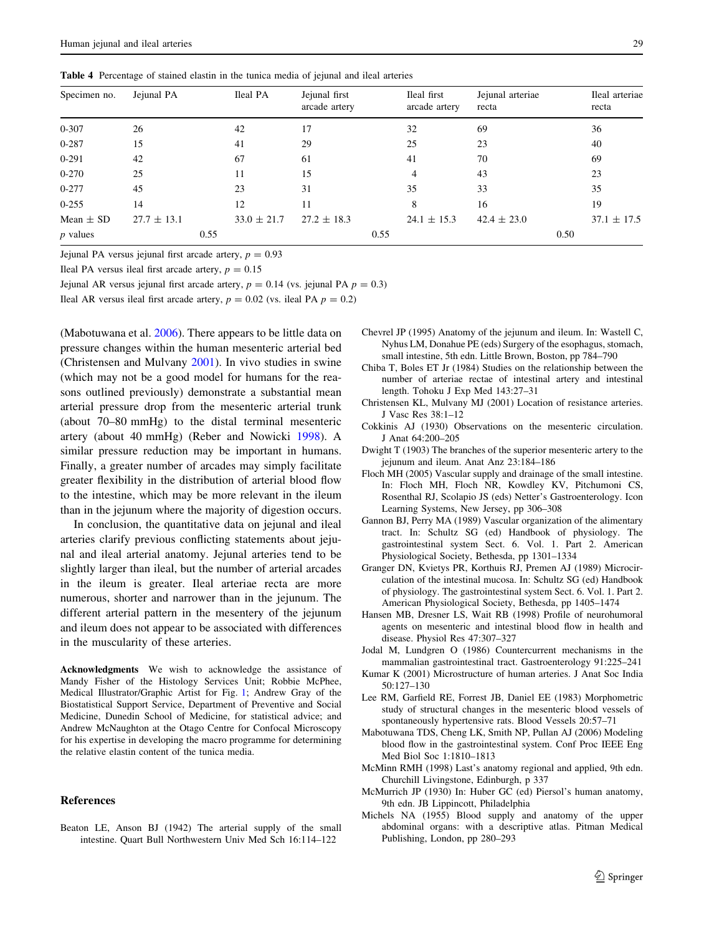<span id="page-6-0"></span>Table 4 Percentage of stained elastin in the tunica media of jejunal and ileal arteries

| Specimen no.  | Jejunal PA      |      | Ileal PA        | Jejunal first<br>arcade artery |      | Ileal first<br>arcade artery | Jejunal arteriae<br>recta |      | Ileal arteriae<br>recta |
|---------------|-----------------|------|-----------------|--------------------------------|------|------------------------------|---------------------------|------|-------------------------|
| $0 - 307$     | 26              |      | 42              | 17                             |      | 32                           | 69                        |      | 36                      |
| $0 - 287$     | 15              |      | 41              | 29                             |      | 25                           | 23                        |      | 40                      |
| $0 - 291$     | 42              |      | 67              | 61                             |      | 41                           | 70                        |      | 69                      |
| $0 - 270$     | 25              |      | 11              | 15                             |      | 4                            | 43                        |      | 23                      |
| $0 - 277$     | 45              |      | 23              | 31                             |      | 35                           | 33                        |      | 35                      |
| $0 - 255$     | 14              |      | 12              | 11                             |      | 8                            | 16                        |      | 19                      |
| Mean $\pm$ SD | $27.7 \pm 13.1$ |      | $33.0 \pm 21.7$ | $27.2 \pm 18.3$                |      | $24.1 \pm 15.3$              | $42.4 \pm 23.0$           |      | $37.1 \pm 17.5$         |
| $p$ values    |                 | 0.55 |                 |                                | 0.55 |                              |                           | 0.50 |                         |

Jejunal PA versus jejunal first arcade artery,  $p = 0.93$ 

Ileal PA versus ileal first arcade artery,  $p = 0.15$ 

Jejunal AR versus jejunal first arcade artery,  $p = 0.14$  (vs. jejunal PA  $p = 0.3$ )

Ileal AR versus ileal first arcade artery,  $p = 0.02$  (vs. ileal PA  $p = 0.2$ )

(Mabotuwana et al. 2006). There appears to be little data on pressure changes within the human mesenteric arterial bed (Christensen and Mulvany 2001). In vivo studies in swine (which may not be a good model for humans for the reasons outlined previously) demonstrate a substantial mean arterial pressure drop from the mesenteric arterial trunk (about 70–80 mmHg) to the distal terminal mesenteric artery (about 40 mmHg) (Reber and Nowicki [1998](#page-7-0)). A similar pressure reduction may be important in humans. Finally, a greater number of arcades may simply facilitate greater flexibility in the distribution of arterial blood flow to the intestine, which may be more relevant in the ileum than in the jejunum where the majority of digestion occurs.

In conclusion, the quantitative data on jejunal and ileal arteries clarify previous conflicting statements about jejunal and ileal arterial anatomy. Jejunal arteries tend to be slightly larger than ileal, but the number of arterial arcades in the ileum is greater. Ileal arteriae recta are more numerous, shorter and narrower than in the jejunum. The different arterial pattern in the mesentery of the jejunum and ileum does not appear to be associated with differences in the muscularity of these arteries.

Acknowledgments We wish to acknowledge the assistance of Mandy Fisher of the Histology Services Unit; Robbie McPhee, Medical Illustrator/Graphic Artist for Fig. [1](#page-1-0); Andrew Gray of the Biostatistical Support Service, Department of Preventive and Social Medicine, Dunedin School of Medicine, for statistical advice; and Andrew McNaughton at the Otago Centre for Confocal Microscopy for his expertise in developing the macro programme for determining the relative elastin content of the tunica media.

## References

Beaton LE, Anson BJ (1942) The arterial supply of the small intestine. Quart Bull Northwestern Univ Med Sch 16:114–122

- Chevrel JP (1995) Anatomy of the jejunum and ileum. In: Wastell C, Nyhus LM, Donahue PE (eds) Surgery of the esophagus, stomach, small intestine, 5th edn. Little Brown, Boston, pp 784–790
- Chiba T, Boles ET Jr (1984) Studies on the relationship between the number of arteriae rectae of intestinal artery and intestinal length. Tohoku J Exp Med 143:27–31
- Christensen KL, Mulvany MJ (2001) Location of resistance arteries. J Vasc Res 38:1–12
- Cokkinis AJ (1930) Observations on the mesenteric circulation. J Anat 64:200–205
- Dwight T (1903) The branches of the superior mesenteric artery to the jejunum and ileum. Anat Anz 23:184–186
- Floch MH (2005) Vascular supply and drainage of the small intestine. In: Floch MH, Floch NR, Kowdley KV, Pitchumoni CS, Rosenthal RJ, Scolapio JS (eds) Netter's Gastroenterology. Icon Learning Systems, New Jersey, pp 306–308
- Gannon BJ, Perry MA (1989) Vascular organization of the alimentary tract. In: Schultz SG (ed) Handbook of physiology. The gastrointestinal system Sect. 6. Vol. 1. Part 2. American Physiological Society, Bethesda, pp 1301–1334
- Granger DN, Kvietys PR, Korthuis RJ, Premen AJ (1989) Microcirculation of the intestinal mucosa. In: Schultz SG (ed) Handbook of physiology. The gastrointestinal system Sect. 6. Vol. 1. Part 2. American Physiological Society, Bethesda, pp 1405–1474
- Hansen MB, Dresner LS, Wait RB (1998) Profile of neurohumoral agents on mesenteric and intestinal blood flow in health and disease. Physiol Res 47:307–327
- Jodal M, Lundgren O (1986) Countercurrent mechanisms in the mammalian gastrointestinal tract. Gastroenterology 91:225–241
- Kumar K (2001) Microstructure of human arteries. J Anat Soc India 50:127–130
- Lee RM, Garfield RE, Forrest JB, Daniel EE (1983) Morphometric study of structural changes in the mesenteric blood vessels of spontaneously hypertensive rats. Blood Vessels 20:57–71
- Mabotuwana TDS, Cheng LK, Smith NP, Pullan AJ (2006) Modeling blood flow in the gastrointestinal system. Conf Proc IEEE Eng Med Biol Soc 1:1810–1813
- McMinn RMH (1998) Last's anatomy regional and applied, 9th edn. Churchill Livingstone, Edinburgh, p 337
- McMurrich JP (1930) In: Huber GC (ed) Piersol's human anatomy, 9th edn. JB Lippincott, Philadelphia
- Michels NA (1955) Blood supply and anatomy of the upper abdominal organs: with a descriptive atlas. Pitman Medical Publishing, London, pp 280–293